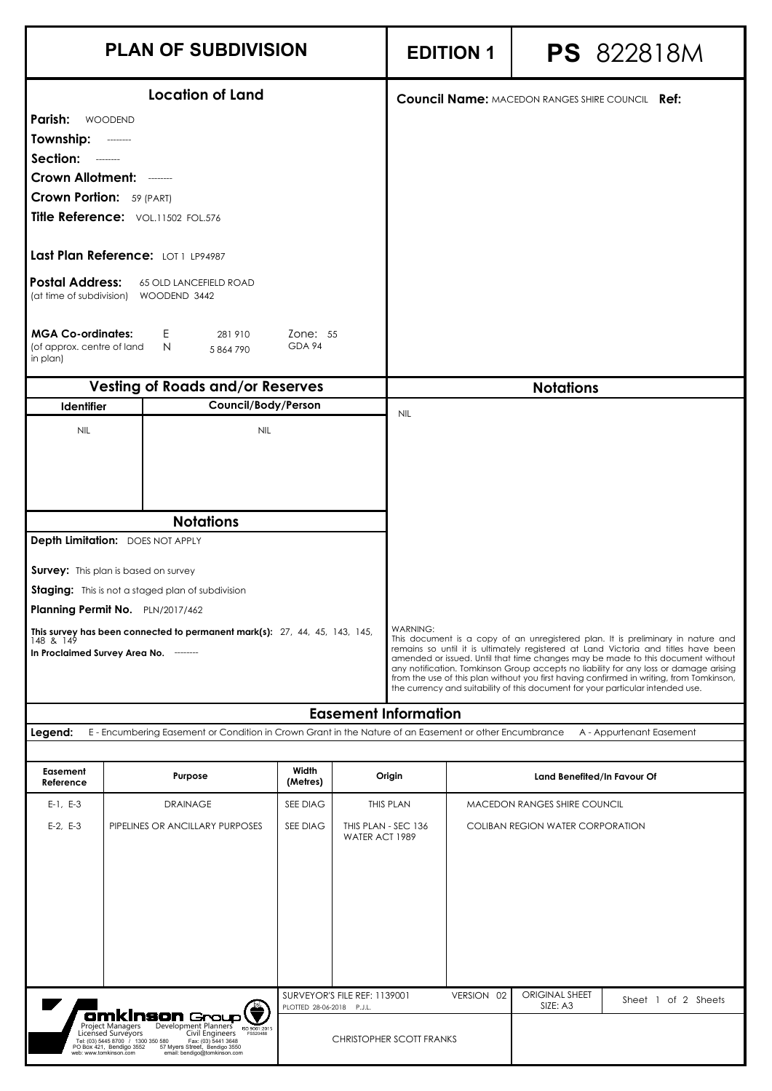|                                                                                                                                                                                                         | <b>PLAN OF SUBDIVISION</b>                                                                                                                                                                                                                                                                                                                           |                           |                                       |                                 | <b>EDITION 1</b> |                                                                                                                                                                                                                                                                                                                                                                                                                                                                                                                                   | <b>PS</b> 822818M        |  |
|---------------------------------------------------------------------------------------------------------------------------------------------------------------------------------------------------------|------------------------------------------------------------------------------------------------------------------------------------------------------------------------------------------------------------------------------------------------------------------------------------------------------------------------------------------------------|---------------------------|---------------------------------------|---------------------------------|------------------|-----------------------------------------------------------------------------------------------------------------------------------------------------------------------------------------------------------------------------------------------------------------------------------------------------------------------------------------------------------------------------------------------------------------------------------------------------------------------------------------------------------------------------------|--------------------------|--|
| Parish:<br>Township:<br>Section: -------<br>Crown Allotment: -------<br><b>Crown Portion:</b> 59 (PART)<br><b>Postal Address:</b><br><b>MGA Co-ordinates:</b><br>(of approx. centre of land<br>in plan) | <b>Location of Land</b><br><b>WOODEND</b><br>$- - - - - - - -$<br>Title Reference: VOL.11502 FOL.576<br>Last Plan Reference: LOT 1 LP94987<br><b>65 OLD LANCEFIELD ROAD</b><br>(at time of subdivision) WOODEND 3442<br>E.<br>281910<br>N<br>5 864 790                                                                                               | Zone: 55<br>GDA 94        |                                       |                                 |                  | <b>Council Name: MACEDON RANGES SHIRE COUNCIL Ref:</b>                                                                                                                                                                                                                                                                                                                                                                                                                                                                            |                          |  |
|                                                                                                                                                                                                         | <b>Vesting of Roads and/or Reserves</b>                                                                                                                                                                                                                                                                                                              |                           |                                       |                                 |                  | <b>Notations</b>                                                                                                                                                                                                                                                                                                                                                                                                                                                                                                                  |                          |  |
| <b>Identifier</b>                                                                                                                                                                                       | Council/Body/Person                                                                                                                                                                                                                                                                                                                                  |                           |                                       | <b>NIL</b>                      |                  |                                                                                                                                                                                                                                                                                                                                                                                                                                                                                                                                   |                          |  |
| <b>NIL</b>                                                                                                                                                                                              | <b>NIL</b><br><b>Notations</b><br>Depth Limitation: DOES NOT APPLY<br><b>Survey:</b> This plan is based on survey<br>Staging: This is not a staged plan of subdivision<br>Planning Permit No. PLN/2017/462<br><b>This survey has been connected to permanent mark(s):</b> $27, 44, 45, 143, 145, 148, 149$<br>In Proclaimed Survey Area No. -------- |                           |                                       | <b>WARNING:</b>                 |                  | This document is a copy of an unregistered plan. It is preliminary in nature and<br>remains so until it is ultimately registered at Land Victoria and titles have been<br>amended or issued. Until that time changes may be made to this document without<br>any notification. Tomkinson Group accepts no liability for any loss or damage arising<br>from the use of this plan without you first having confirmed in writing, from Tomkinson,<br>the currency and suitability of this document for your particular intended use. |                          |  |
|                                                                                                                                                                                                         |                                                                                                                                                                                                                                                                                                                                                      |                           |                                       | <b>Easement Information</b>     |                  |                                                                                                                                                                                                                                                                                                                                                                                                                                                                                                                                   |                          |  |
| Legend:                                                                                                                                                                                                 | E - Encumbering Easement or Condition in Crown Grant in the Nature of an Easement or other Encumbrance                                                                                                                                                                                                                                               |                           |                                       |                                 |                  |                                                                                                                                                                                                                                                                                                                                                                                                                                                                                                                                   | A - Appurtenant Easement |  |
| Easement<br>Reference                                                                                                                                                                                   | Purpose                                                                                                                                                                                                                                                                                                                                              | Width<br>(Metres)         |                                       | Origin                          |                  | Land Benefited/In Favour Of                                                                                                                                                                                                                                                                                                                                                                                                                                                                                                       |                          |  |
| $E-1, E-3$                                                                                                                                                                                              | <b>DRAINAGE</b>                                                                                                                                                                                                                                                                                                                                      | SEE DIAG                  |                                       | THIS PLAN                       |                  | MACEDON RANGES SHIRE COUNCIL                                                                                                                                                                                                                                                                                                                                                                                                                                                                                                      |                          |  |
| $E-2, E-3$                                                                                                                                                                                              | PIPELINES OR ANCILLARY PURPOSES                                                                                                                                                                                                                                                                                                                      | SEE DIAG                  | THIS PLAN - SEC 136<br>WATER ACT 1989 |                                 |                  | <b>COLIBAN REGION WATER CORPORATION</b>                                                                                                                                                                                                                                                                                                                                                                                                                                                                                           |                          |  |
| $\blacksquare$                                                                                                                                                                                          |                                                                                                                                                                                                                                                                                                                                                      | PLOTTED 28-06-2018 P.J.L. | SURVEYOR'S FILE REF: 1139001          |                                 | VERSION 02       | <b>ORIGINAL SHEET</b><br>SIZE: A3                                                                                                                                                                                                                                                                                                                                                                                                                                                                                                 | Sheet 1 of 2 Sheets      |  |
|                                                                                                                                                                                                         | <b>Omkinson</b> Group<br>Development Planners <sub>ISO 9001:2015</sub><br>Project Managers<br>Civil Engineers FS520488<br>Licensed Surveyors<br>Tel: (03) 5445 8700 / 1300 350 580<br>350 580 Fax: (03) 5441 3648<br>57 Myers Street, Bendigo 3550<br>PO Box 421, Bendigo 3552<br>email: bendigo@tomkinson.com<br>web: www.tomkinson.com             |                           |                                       | <b>CHRISTOPHER SCOTT FRANKS</b> |                  |                                                                                                                                                                                                                                                                                                                                                                                                                                                                                                                                   |                          |  |